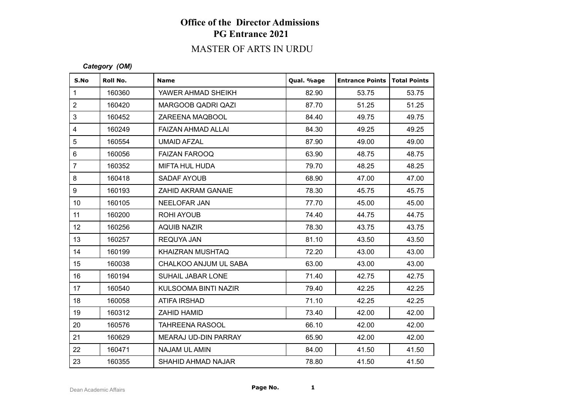### MASTER OF ARTS IN URDU

#### *Category (OM)*

| S.No            | Roll No. | <b>Name</b>               | Qual. %age | <b>Entrance Points</b> | Total Points |
|-----------------|----------|---------------------------|------------|------------------------|--------------|
| $\mathbf{1}$    | 160360   | YAWER AHMAD SHEIKH        | 82.90      | 53.75                  | 53.75        |
| $\overline{2}$  | 160420   | MARGOOB QADRI QAZI        | 87.70      | 51.25                  | 51.25        |
| 3               | 160452   | ZAREENA MAQBOOL           | 84.40      | 49.75                  | 49.75        |
| $\overline{4}$  | 160249   | FAIZAN AHMAD ALLAI        | 84.30      | 49.25                  | 49.25        |
| 5               | 160554   | UMAID AFZAL               | 87.90      | 49.00                  | 49.00        |
| $\,6\,$         | 160056   | <b>FAIZAN FAROOQ</b>      | 63.90      | 48.75                  | 48.75        |
| $\overline{7}$  | 160352   | MIFTA HUL HUDA            | 79.70      | 48.25                  | 48.25        |
| 8               | 160418   | SADAF AYOUB               | 68.90      | 47.00                  | 47.00        |
| 9               | 160193   | <b>ZAHID AKRAM GANAIE</b> | 78.30      | 45.75                  | 45.75        |
| 10 <sup>°</sup> | 160105   | <b>NEELOFAR JAN</b>       | 77.70      | 45.00                  | 45.00        |
| 11              | 160200   | ROHI AYOUB                | 74.40      | 44.75                  | 44.75        |
| 12              | 160256   | AQUIB NAZIR               | 78.30      | 43.75                  | 43.75        |
| 13              | 160257   | <b>REQUYA JAN</b>         | 81.10      | 43.50                  | 43.50        |
| 14              | 160199   | KHAIZRAN MUSHTAQ          | 72.20      | 43.00                  | 43.00        |
| 15              | 160038   | CHALKOO ANJUM UL SABA     | 63.00      | 43.00                  | 43.00        |
| 16              | 160194   | SUHAIL JABAR LONE         | 71.40      | 42.75                  | 42.75        |
| 17              | 160540   | KULSOOMA BINTI NAZIR      | 79.40      | 42.25                  | 42.25        |
| 18              | 160058   | <b>ATIFA IRSHAD</b>       | 71.10      | 42.25                  | 42.25        |
| 19              | 160312   | ZAHID HAMID               | 73.40      | 42.00                  | 42.00        |
| 20              | 160576   | <b>TAHREENA RASOOL</b>    | 66.10      | 42.00                  | 42.00        |
| 21              | 160629   | MEARAJ UD-DIN PARRAY      | 65.90      | 42.00                  | 42.00        |
| 22              | 160471   | <b>NAJAM UL AMIN</b>      | 84.00      | 41.50                  | 41.50        |
| 23              | 160355   | <b>SHAHID AHMAD NAJAR</b> | 78.80      | 41.50                  | 41.50        |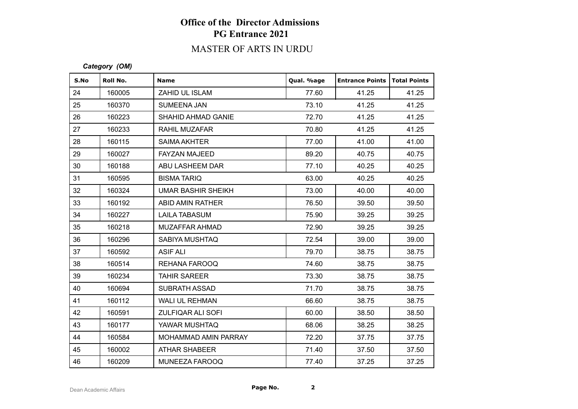### MASTER OF ARTS IN URDU

#### *Category (OM)*

| S.No | Roll No. | <b>Name</b>               | Qual. %age | <b>Entrance Points   Total Points</b> |       |
|------|----------|---------------------------|------------|---------------------------------------|-------|
| 24   | 160005   | ZAHID UL ISLAM            | 77.60      | 41.25                                 | 41.25 |
| 25   | 160370   | <b>SUMEENA JAN</b>        | 73.10      | 41.25                                 | 41.25 |
| 26   | 160223   | SHAHID AHMAD GANIE        | 72.70      | 41.25                                 | 41.25 |
| 27   | 160233   | RAHIL MUZAFAR             | 70.80      | 41.25                                 | 41.25 |
| 28   | 160115   | <b>SAIMA AKHTER</b>       | 77.00      | 41.00                                 | 41.00 |
| 29   | 160027   | <b>FAYZAN MAJEED</b>      | 89.20      | 40.75                                 | 40.75 |
| 30   | 160188   | ABU LASHEEM DAR           | 77.10      | 40.25                                 | 40.25 |
| 31   | 160595   | <b>BISMA TARIQ</b>        | 63.00      | 40.25                                 | 40.25 |
| 32   | 160324   | <b>UMAR BASHIR SHEIKH</b> | 73.00      | 40.00                                 | 40.00 |
| 33   | 160192   | ABID AMIN RATHER          | 76.50      | 39.50                                 | 39.50 |
| 34   | 160227   | <b>LAILA TABASUM</b>      | 75.90      | 39.25                                 | 39.25 |
| 35   | 160218   | MUZAFFAR AHMAD            | 72.90      | 39.25                                 | 39.25 |
| 36   | 160296   | SABIYA MUSHTAQ            | 72.54      | 39.00                                 | 39.00 |
| 37   | 160592   | <b>ASIF ALI</b>           | 79.70      | 38.75                                 | 38.75 |
| 38   | 160514   | REHANA FAROOQ             | 74.60      | 38.75                                 | 38.75 |
| 39   | 160234   | <b>TAHIR SAREER</b>       | 73.30      | 38.75                                 | 38.75 |
| 40   | 160694   | <b>SUBRATH ASSAD</b>      | 71.70      | 38.75                                 | 38.75 |
| 41   | 160112   | WALI UL REHMAN            | 66.60      | 38.75                                 | 38.75 |
| 42   | 160591   | <b>ZULFIQAR ALI SOFI</b>  | 60.00      | 38.50                                 | 38.50 |
| 43   | 160177   | YAWAR MUSHTAQ             | 68.06      | 38.25                                 | 38.25 |
| 44   | 160584   | MOHAMMAD AMIN PARRAY      | 72.20      | 37.75                                 | 37.75 |
| 45   | 160002   | <b>ATHAR SHABEER</b>      | 71.40      | 37.50                                 | 37.50 |
| 46   | 160209   | MUNEEZA FAROOQ            | 77.40      | 37.25                                 | 37.25 |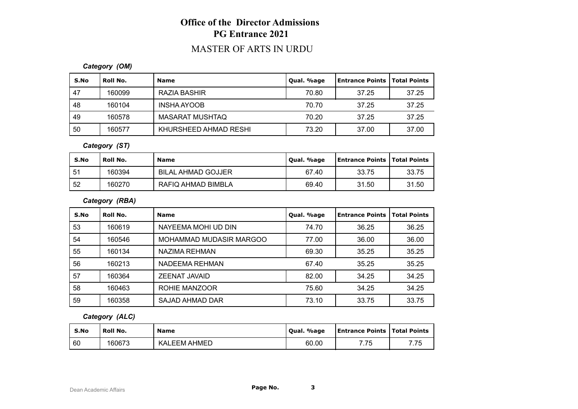### MASTER OF ARTS IN URDU

#### *Category (OM)*

| S.No | Roll No. | <b>Name</b>            | Qual. %age | Entrance Points   Total Points |       |
|------|----------|------------------------|------------|--------------------------------|-------|
| 47   | 160099   | RAZIA BASHIR           | 70.80      | 37.25                          | 37.25 |
| -48  | 160104   | INSHA AYOOB            | 70.70      | 37.25                          | 37.25 |
| -49  | 160578   | <b>MASARAT MUSHTAQ</b> | 70.20      | 37.25                          | 37.25 |
| -50  | 160577   | KHURSHEED AHMAD RESHI  | 73.20      | 37.00                          | 37.00 |

#### *Category (ST)*

| S.No | Roll No. | <b>Name</b>               | Qual. %age | <b>Entrance Points   Total Points</b> |       |
|------|----------|---------------------------|------------|---------------------------------------|-------|
| -51  | 160394   | <b>BILAL AHMAD GOJJER</b> | 67.40      | 33.75                                 | 33.75 |
| 52   | 160270   | RAFIQ AHMAD BIMBLA        | 69.40      | 31.50                                 | 31.50 |

#### *Category (RBA)*

| S.No | Roll No. | <b>Name</b>             | Qual. %age | l Entrance Points | <b>Total Points</b> |
|------|----------|-------------------------|------------|-------------------|---------------------|
| 53   | 160619   | NAYEEMA MOHI UD DIN     | 74.70      | 36.25             | 36.25               |
| 54   | 160546   | MOHAMMAD MUDASIR MARGOO | 77.00      | 36.00             | 36.00               |
| 55   | 160134   | NAZIMA REHMAN           | 69.30      | 35.25             | 35.25               |
| 56   | 160213   | NADEEMA REHMAN          | 67.40      | 35.25             | 35.25               |
| 57   | 160364   | ZEENAT JAVAID           | 82.00      | 34.25             | 34.25               |
| 58   | 160463   | ROHIE MANZOOR           | 75.60      | 34.25             | 34.25               |
| 59   | 160358   | SAJAD AHMAD DAR         | 73.10      | 33.75             | 33.75               |

#### *Category (ALC)*

| S.No | Roll No. | <b>Name</b>               | Qual. %age | <b>Entrance Points   Total Points</b> |      |
|------|----------|---------------------------|------------|---------------------------------------|------|
| 60   | 160673   | <b>_EEM AHMED</b><br>KAL. | 60.00      | 7 75<br>ں ، ،                         | 7.75 |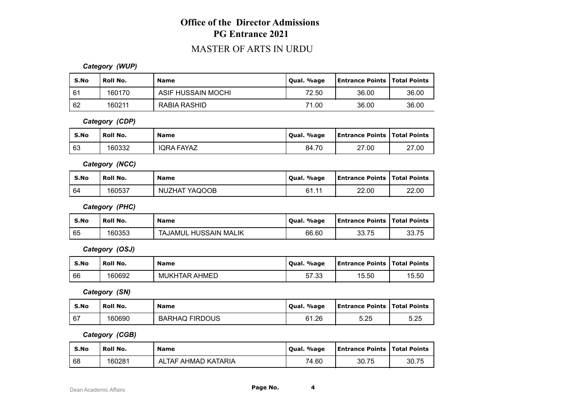### MASTER OF ARTS IN URDU

#### *Category (WUP)*

| S.No | Roll No. | <b>Name</b>        | Qual. %age | <b>Entrance Points   Total Points</b> |       |
|------|----------|--------------------|------------|---------------------------------------|-------|
| l 61 | 160170   | ASIF HUSSAIN MOCHI | 72.50      | 36.00                                 | 36.00 |
| 62   | 160211   | RABIA RASHID       | 71.00      | 36.00                                 | 36.00 |

*Category (CDP)*

| S.No | Roll No. | <b>Name</b>       | Qual. %age | <b>Entrance Points   Total Points</b> |       |
|------|----------|-------------------|------------|---------------------------------------|-------|
| 63   | 160332   | <b>IQRA FAYAZ</b> | 84.70      | 27.00                                 | 27.00 |

*Category (NCC)*

| S.No | <b>Roll No.</b> | <b>Name</b>   | Qual. %age              | <b>Entrance Points   Total Points</b> |       |
|------|-----------------|---------------|-------------------------|---------------------------------------|-------|
| 64   | 160537          | NUZHAT YAQOOB | 61. .<br>$\overline{A}$ | 22.00                                 | 22.00 |

*Category (PHC)*

| S.No | Roll No. | <b>Name</b>                     | . %age<br>' Oual. | <b>Entrance Points   Total Points</b> |       |
|------|----------|---------------------------------|-------------------|---------------------------------------|-------|
| 65   | 160353   | TAJAMUL HUSSAIN<br><b>MALIK</b> | 66.60             | 33.75                                 | 33.75 |

*Category (OSJ)*

| S.No | Roll No. | Name                 | . %age<br>Oual.      | <b>Entrance Points   Total Points</b> |       |
|------|----------|----------------------|----------------------|---------------------------------------|-------|
| 66   | 160692   | <b>MUKHTAR AHMED</b> | <b>5733</b><br>JI.JJ | 15.50                                 | 15.50 |

*Category (SN)*

| S.No | Roll No. | <b>Name</b>           | Qual. %age  | Entrance Points   Total Points |      |
|------|----------|-----------------------|-------------|--------------------------------|------|
| 67   | 160690   | <b>BARHAQ FIRDOUS</b> | 61<br>ô1.26 | 5.25                           | 5.25 |

*Category (CGB)*

| S.No | Roll No. | <b>Name</b>         | Qual. %age | <b>Entrance Points   Total Points</b> |       |
|------|----------|---------------------|------------|---------------------------------------|-------|
| 68   | 160281   | ALTAF AHMAD KATARIA | 74.60      | 30.75                                 | 30.75 |